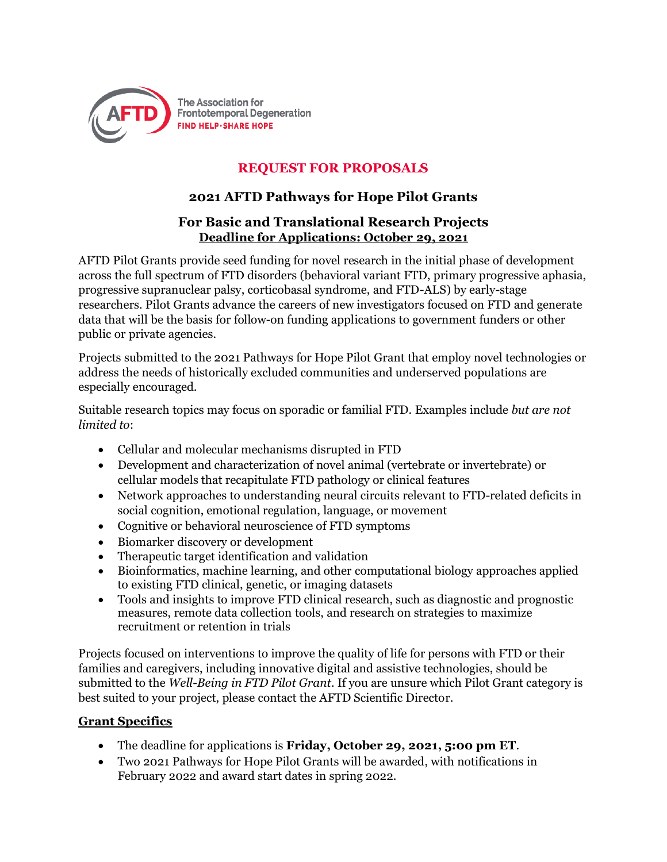

# **REQUEST FOR PROPOSALS**

## **2021 AFTD Pathways for Hope Pilot Grants**

### **For Basic and Translational Research Projects Deadline for Applications: October 29, 2021**

AFTD Pilot Grants provide seed funding for novel research in the initial phase of development across the full spectrum of FTD disorders (behavioral variant FTD, primary progressive aphasia, progressive supranuclear palsy, corticobasal syndrome, and FTD-ALS) by early-stage researchers. Pilot Grants advance the careers of new investigators focused on FTD and generate data that will be the basis for follow-on funding applications to government funders or other public or private agencies.

Projects submitted to the 2021 Pathways for Hope Pilot Grant that employ novel technologies or address the needs of historically excluded communities and underserved populations are especially encouraged.

Suitable research topics may focus on sporadic or familial FTD. Examples include *but are not limited to*:

- Cellular and molecular mechanisms disrupted in FTD
- Development and characterization of novel animal (vertebrate or invertebrate) or cellular models that recapitulate FTD pathology or clinical features
- Network approaches to understanding neural circuits relevant to FTD-related deficits in social cognition, emotional regulation, language, or movement
- Cognitive or behavioral neuroscience of FTD symptoms
- Biomarker discovery or development
- Therapeutic target identification and validation
- Bioinformatics, machine learning, and other computational biology approaches applied to existing FTD clinical, genetic, or imaging datasets
- Tools and insights to improve FTD clinical research, such as diagnostic and prognostic measures, remote data collection tools, and research on strategies to maximize recruitment or retention in trials

Projects focused on interventions to improve the quality of life for persons with FTD or their families and caregivers, including innovative digital and assistive technologies, should be submitted to the *Well-Being in FTD Pilot Grant*. If you are unsure which Pilot Grant category is best suited to your project, please contact the AFTD Scientific Director.

#### **Grant Specifics**

- The deadline for applications is **Friday, October 29, 2021, 5:00 pm ET**.
- Two 2021 Pathways for Hope Pilot Grants will be awarded, with notifications in February 2022 and award start dates in spring 2022.